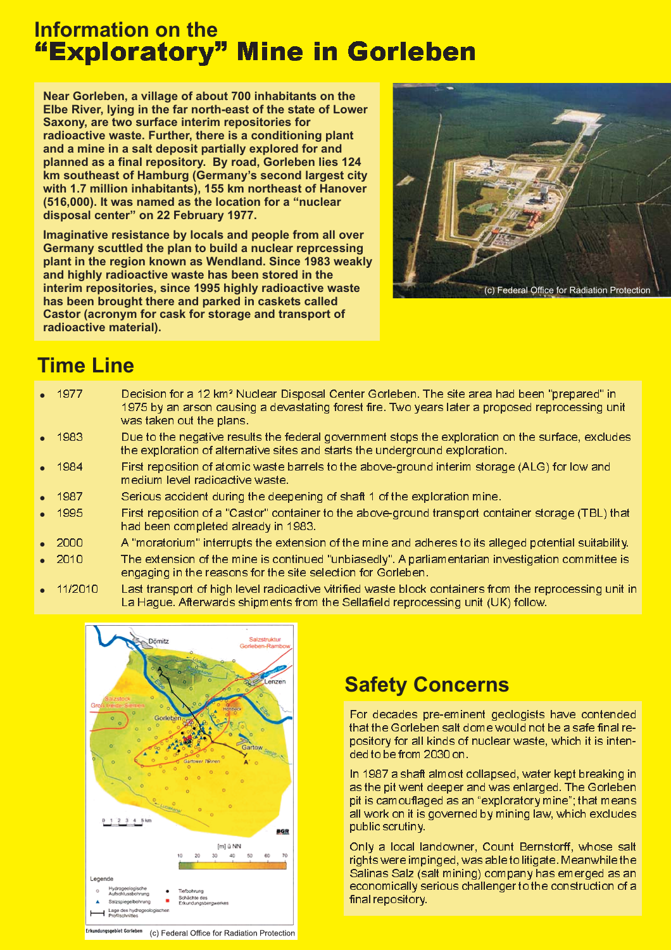# **Information on the** <u>"Exploratory" Mine in Gorleben</u>

**Near Gorleben, a village of about 700 inhabitants on the Elbe River, lying in the far north-east of the state of Lower Saxony, are two surface interim repositories for radioactive waste. Further, there is a conditioning plant and a mine in a salt deposit partially explored for and planned as a final repository. By road, Gorleben lies 124 km southeast of Hamburg (Germany's second largest city with 1.7 million inhabitants), 155 km northeast of Hanover (516,000). It was named as the location for a "nuclear** disposal center" on 22 February 1977.

**Imaginative resistance by locals and people from all over Germany scuttled the plan to build a nuclear reprcessing plant in the region known as Wendland. Since 1983 weakly and highly radioactive waste has been stored in the interim repositories, since 1995 highly radioactive waste has been brought there and parked in caskets called Castor (acronym for cask for storage and transport of radioactive material).**



# **Time Line**

| $\bullet$ 1977    | Decision for a 12 km <sup>2</sup> Nuclear Disposal Center Gorleben. The site area had been "prepared" in<br>1975 by an arson causing a devastating forest fire. Two years later a proposed reprocessing unit<br>was taken out the plans. |
|-------------------|------------------------------------------------------------------------------------------------------------------------------------------------------------------------------------------------------------------------------------------|
| $\bullet$ 1983    | Due to the negative results the federal government stops the exploration on the surface, excludes<br>the exploration of alternative sites and starts the underground exploration.                                                        |
| $\bullet$ 1984    | First reposition of atomic waste barrels to the above-ground interim storage (ALG) for low and<br>medium level radioactive waste.                                                                                                        |
| $\bullet$ 1987    | Serious accident during the deepening of shaft 1 of the exploration mine.                                                                                                                                                                |
| $\bullet$ 1995    | First reposition of a "Castor" container to the above-ground transport container storage (TBL) that<br>had been completed already in 1983.                                                                                               |
| $\bullet$ 2000    | A "moratorium" interrupts the extension of the mine and adheres to its alleged potential suitability.                                                                                                                                    |
| $\bullet$ 2010    | The extension of the mine is continued "unbiasedly". A parliamentarian investigation committee is<br>engaging in the reasons for the site selection for Gorleben.                                                                        |
| $\bullet$ 11/2010 | Last transport of high level radioactive vitrified waste block containers from the reprocessing unit in<br>La Hague. Afterwards shipments from the Sellafield reprocessing unit (UK) follow.                                             |



## **Safety Concerns**

For decades pre-eminent geologists have contended that the Gorleben salt dome would not be a safe final repository for all kinds of nuclear waste, which it is intended to be from 2030 on.

In 1987 a shaft almost collapsed, water kept breaking in as the pit went deeper and was enlarged. The Gorleben pit is camouflaged as an "exploratory mine"; that means all work on it is governed by mining law, which excludes public scrutiny.

Only a local landowner, Count Bernstorff, whose salt rights were impinged, was able to litigate. Meanwhile the Salinas Salz (salt mining) company has emerged as an economically serious challenger to the construction of a final repository.